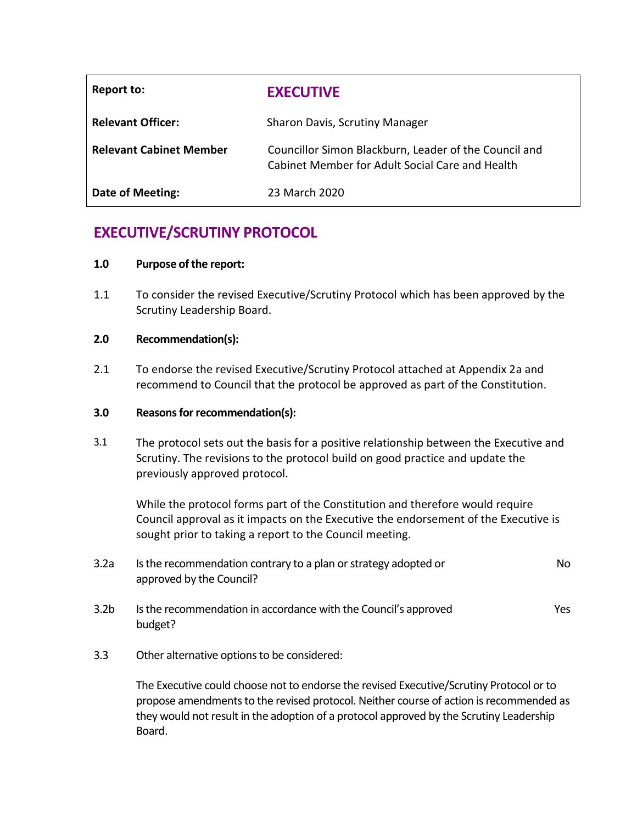| Report to:                     | <b>EXECUTIVE</b>                                                                                         |
|--------------------------------|----------------------------------------------------------------------------------------------------------|
| <b>Relevant Officer:</b>       | Sharon Davis, Scrutiny Manager                                                                           |
| <b>Relevant Cabinet Member</b> | Councillor Simon Blackburn, Leader of the Council and<br>Cabinet Member for Adult Social Care and Health |
| <b>Date of Meeting:</b>        | 23 March 2020                                                                                            |

# **EXECUTIVE/SCRUTINY PROTOCOL**

#### **1.0 Purpose of the report:**

1.1 To consider the revised Executive/Scrutiny Protocol which has been approved by the Scrutiny Leadership Board.

### **2.0 Recommendation(s):**

2.1 To endorse the revised Executive/Scrutiny Protocol attached at Appendix 2a and recommend to Council that the protocol be approved as part of the Constitution.

### **3.0 Reasons for recommendation(s):**

3.1 The protocol sets out the basis for a positive relationship between the Executive and Scrutiny. The revisions to the protocol build on good practice and update the previously approved protocol.

While the protocol forms part of the Constitution and therefore would require Council approval as it impacts on the Executive the endorsement of the Executive is sought prior to taking a report to the Council meeting.

- 3.2a Is the recommendation contrary to a plan or strategy adopted or approved by the Council? No
- 3.2b Is the recommendation in accordance with the Council's approved budget? Yes
- 3.3 Other alternative options to be considered:

The Executive could choose not to endorse the revised Executive/Scrutiny Protocol or to propose amendments to the revised protocol. Neither course of action is recommended as they would not result in the adoption of a protocol approved by the Scrutiny Leadership Board.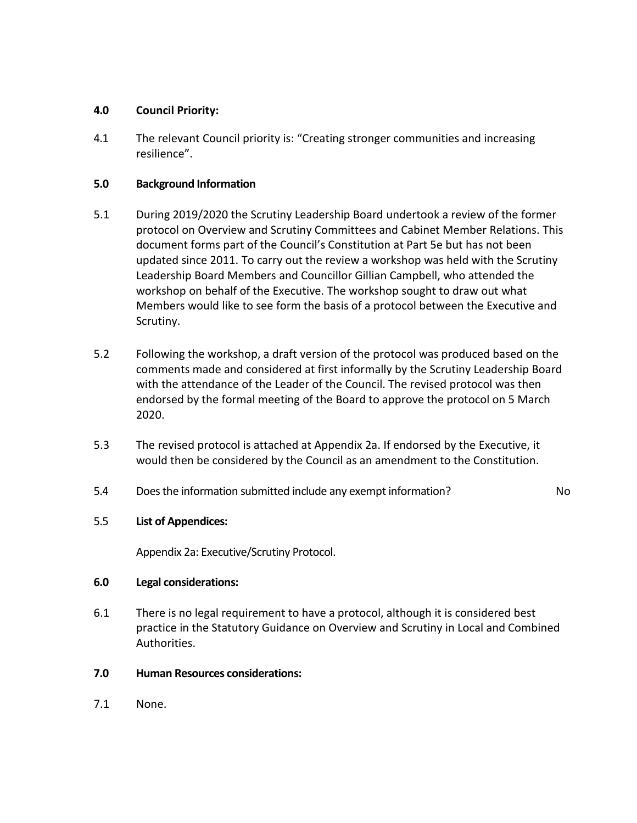## **4.0 Council Priority:**

4.1 The relevant Council priority is: "Creating stronger communities and increasing resilience".

## **5.0 Background Information**

- 5.1 During 2019/2020 the Scrutiny Leadership Board undertook a review of the former protocol on Overview and Scrutiny Committees and Cabinet Member Relations. This document forms part of the Council's Constitution at Part 5e but has not been updated since 2011. To carry out the review a workshop was held with the Scrutiny Leadership Board Members and Councillor Gillian Campbell, who attended the workshop on behalf of the Executive. The workshop sought to draw out what Members would like to see form the basis of a protocol between the Executive and Scrutiny.
- 5.2 Following the workshop, a draft version of the protocol was produced based on the comments made and considered at first informally by the Scrutiny Leadership Board with the attendance of the Leader of the Council. The revised protocol was then endorsed by the formal meeting of the Board to approve the protocol on 5 March 2020.
- 5.3 The revised protocol is attached at Appendix 2a. If endorsed by the Executive, it would then be considered by the Council as an amendment to the Constitution.
- 5.4 Does the information submitted include any exempt information? No

### 5.5 **List of Appendices:**

Appendix 2a: Executive/Scrutiny Protocol.

### **6.0 Legal considerations:**

6.1 There is no legal requirement to have a protocol, although it is considered best practice in the Statutory Guidance on Overview and Scrutiny in Local and Combined Authorities.

### **7.0 Human Resources considerations:**

7.1 None.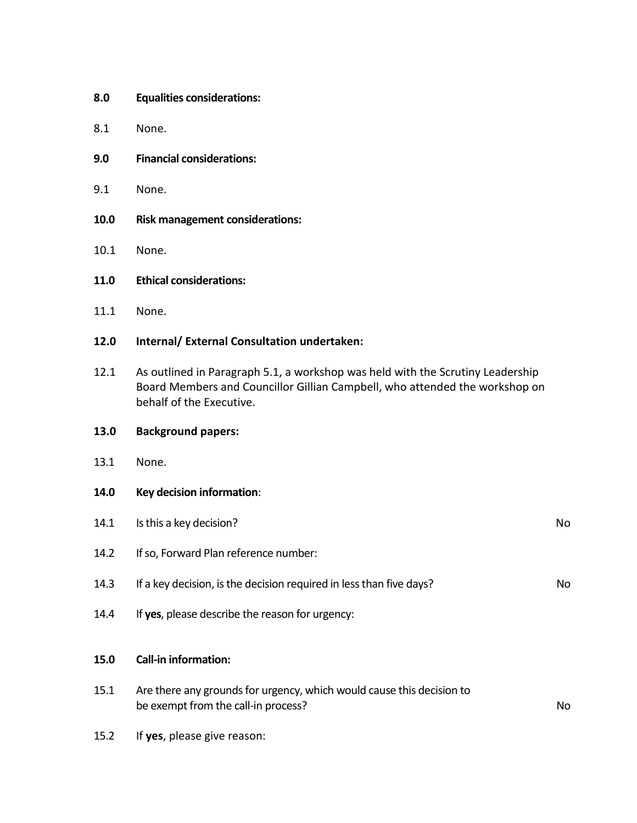- **8.0 Equalities considerations:**
- 8.1 None.
- **9.0 Financial considerations:**
- 9.1 None.
- **10.0 Risk management considerations:**
- 10.1 None.
- **11.0 Ethical considerations:**
- 11.1 None.
- **12.0 Internal/ External Consultation undertaken:**
- 12.1 As outlined in Paragraph 5.1, a workshop was held with the Scrutiny Leadership Board Members and Councillor Gillian Campbell, who attended the workshop on behalf of the Executive.

## **13.0 Background papers:**

- 13.1 None.
- **14.0 Key decision information**:

| 14.1 | Is this a key decision?                                                                                      | No  |
|------|--------------------------------------------------------------------------------------------------------------|-----|
| 14.2 | If so, Forward Plan reference number:                                                                        |     |
| 14.3 | If a key decision, is the decision required in less than five days?                                          | No. |
| 14.4 | If yes, please describe the reason for urgency:                                                              |     |
|      |                                                                                                              |     |
| 15.0 | <b>Call-in information:</b>                                                                                  |     |
| 15.1 | Are there any grounds for urgency, which would cause this decision to<br>be exempt from the call-in process? | No  |
| 15.2 | If yes, please give reason:                                                                                  |     |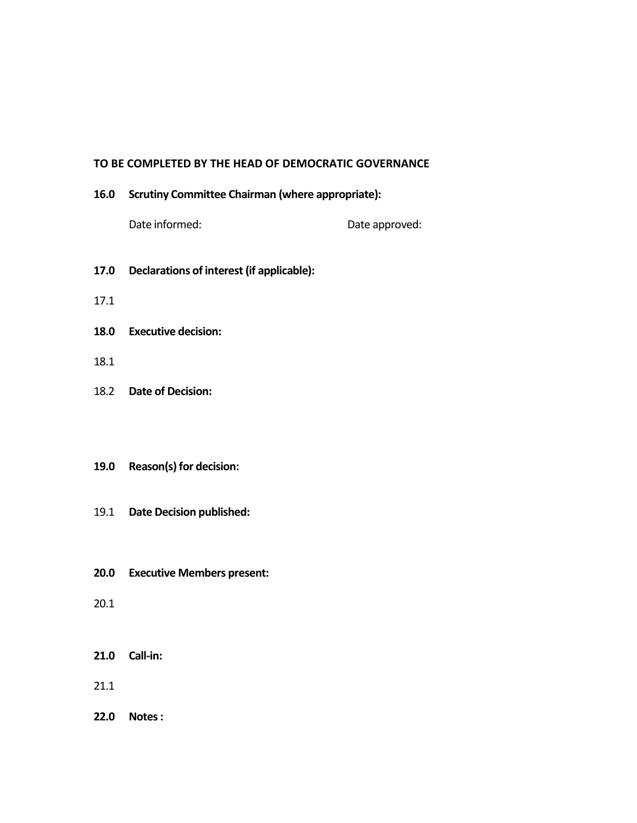### **TO BE COMPLETED BY THE HEAD OF DEMOCRATIC GOVERNANCE**

**16.0 Scrutiny Committee Chairman (where appropriate):**

Date informed: Date approved:

- **17.0 Declarations of interest (if applicable):**
- 17.1
- **18.0 Executive decision:**
- 18.1
- 18.2 **Date of Decision:**
- **19.0 Reason(s) for decision:**
- 19.1 **Date Decision published:**
- **20.0 Executive Members present:**
- 20.1
- **21.0 Call-in:**
- 21.1
- **22.0 Notes:**